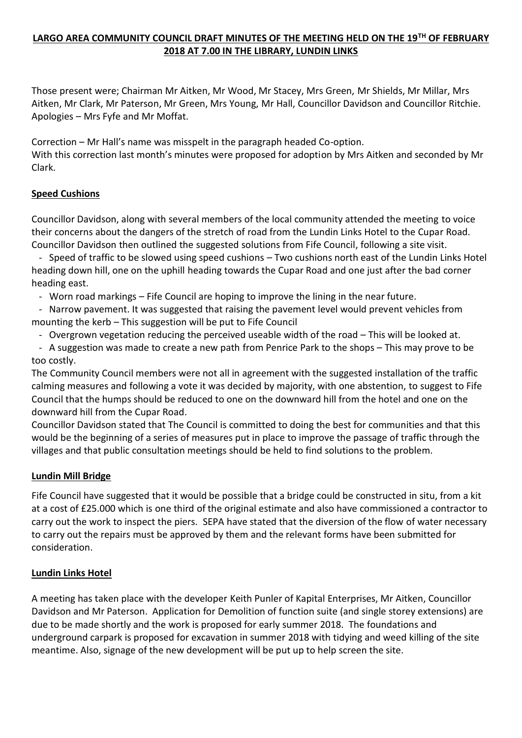# **LARGO AREA COMMUNITY COUNCIL DRAFT MINUTES OF THE MEETING HELD ON THE 19TH OF FEBRUARY 2018 AT 7.00 IN THE LIBRARY, LUNDIN LINKS**

Those present were; Chairman Mr Aitken, Mr Wood, Mr Stacey, Mrs Green, Mr Shields, Mr Millar, Mrs Aitken, Mr Clark, Mr Paterson, Mr Green, Mrs Young, Mr Hall, Councillor Davidson and Councillor Ritchie. Apologies – Mrs Fyfe and Mr Moffat.

Correction – Mr Hall's name was misspelt in the paragraph headed Co-option. With this correction last month's minutes were proposed for adoption by Mrs Aitken and seconded by Mr Clark.

# **Speed Cushions**

Councillor Davidson, along with several members of the local community attended the meeting to voice their concerns about the dangers of the stretch of road from the Lundin Links Hotel to the Cupar Road. Councillor Davidson then outlined the suggested solutions from Fife Council, following a site visit.

 - Speed of traffic to be slowed using speed cushions – Two cushions north east of the Lundin Links Hotel heading down hill, one on the uphill heading towards the Cupar Road and one just after the bad corner heading east.

- Worn road markings – Fife Council are hoping to improve the lining in the near future.

 - Narrow pavement. It was suggested that raising the pavement level would prevent vehicles from mounting the kerb – This suggestion will be put to Fife Council

- Overgrown vegetation reducing the perceived useable width of the road – This will be looked at.

 - A suggestion was made to create a new path from Penrice Park to the shops – This may prove to be too costly.

The Community Council members were not all in agreement with the suggested installation of the traffic calming measures and following a vote it was decided by majority, with one abstention, to suggest to Fife Council that the humps should be reduced to one on the downward hill from the hotel and one on the downward hill from the Cupar Road.

Councillor Davidson stated that The Council is committed to doing the best for communities and that this would be the beginning of a series of measures put in place to improve the passage of traffic through the villages and that public consultation meetings should be held to find solutions to the problem.

## **Lundin Mill Bridge**

Fife Council have suggested that it would be possible that a bridge could be constructed in situ, from a kit at a cost of £25.000 which is one third of the original estimate and also have commissioned a contractor to carry out the work to inspect the piers. SEPA have stated that the diversion of the flow of water necessary to carry out the repairs must be approved by them and the relevant forms have been submitted for consideration.

## **Lundin Links Hotel**

A meeting has taken place with the developer Keith Punler of Kapital Enterprises, Mr Aitken, Councillor Davidson and Mr Paterson. Application for Demolition of function suite (and single storey extensions) are due to be made shortly and the work is proposed for early summer 2018. The foundations and underground carpark is proposed for excavation in summer 2018 with tidying and weed killing of the site meantime. Also, signage of the new development will be put up to help screen the site.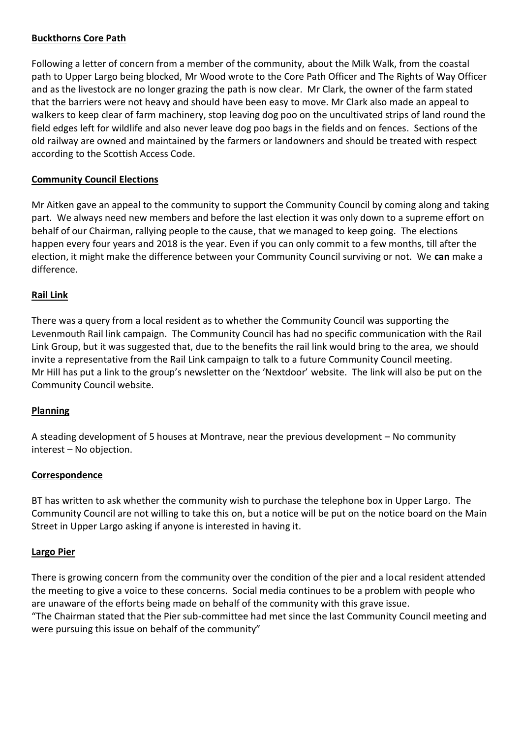## **Buckthorns Core Path**

Following a letter of concern from a member of the community, about the Milk Walk, from the coastal path to Upper Largo being blocked, Mr Wood wrote to the Core Path Officer and The Rights of Way Officer and as the livestock are no longer grazing the path is now clear. Mr Clark, the owner of the farm stated that the barriers were not heavy and should have been easy to move. Mr Clark also made an appeal to walkers to keep clear of farm machinery, stop leaving dog poo on the uncultivated strips of land round the field edges left for wildlife and also never leave dog poo bags in the fields and on fences. Sections of the old railway are owned and maintained by the farmers or landowners and should be treated with respect according to the Scottish Access Code.

### **Community Council Elections**

Mr Aitken gave an appeal to the community to support the Community Council by coming along and taking part. We always need new members and before the last election it was only down to a supreme effort on behalf of our Chairman, rallying people to the cause, that we managed to keep going. The elections happen every four years and 2018 is the year. Even if you can only commit to a few months, till after the election, it might make the difference between your Community Council surviving or not. We **can** make a difference.

### **Rail Link**

There was a query from a local resident as to whether the Community Council was supporting the Levenmouth Rail link campaign. The Community Council has had no specific communication with the Rail Link Group, but it was suggested that, due to the benefits the rail link would bring to the area, we should invite a representative from the Rail Link campaign to talk to a future Community Council meeting. Mr Hill has put a link to the group's newsletter on the 'Nextdoor' website. The link will also be put on the Community Council website.

#### **Planning**

A steading development of 5 houses at Montrave, near the previous development – No community interest – No objection.

#### **Correspondence**

BT has written to ask whether the community wish to purchase the telephone box in Upper Largo. The Community Council are not willing to take this on, but a notice will be put on the notice board on the Main Street in Upper Largo asking if anyone is interested in having it.

#### **Largo Pier**

There is growing concern from the community over the condition of the pier and a local resident attended the meeting to give a voice to these concerns. Social media continues to be a problem with people who are unaware of the efforts being made on behalf of the community with this grave issue.

"The Chairman stated that the Pier sub-committee had met since the last Community Council meeting and were pursuing this issue on behalf of the community"